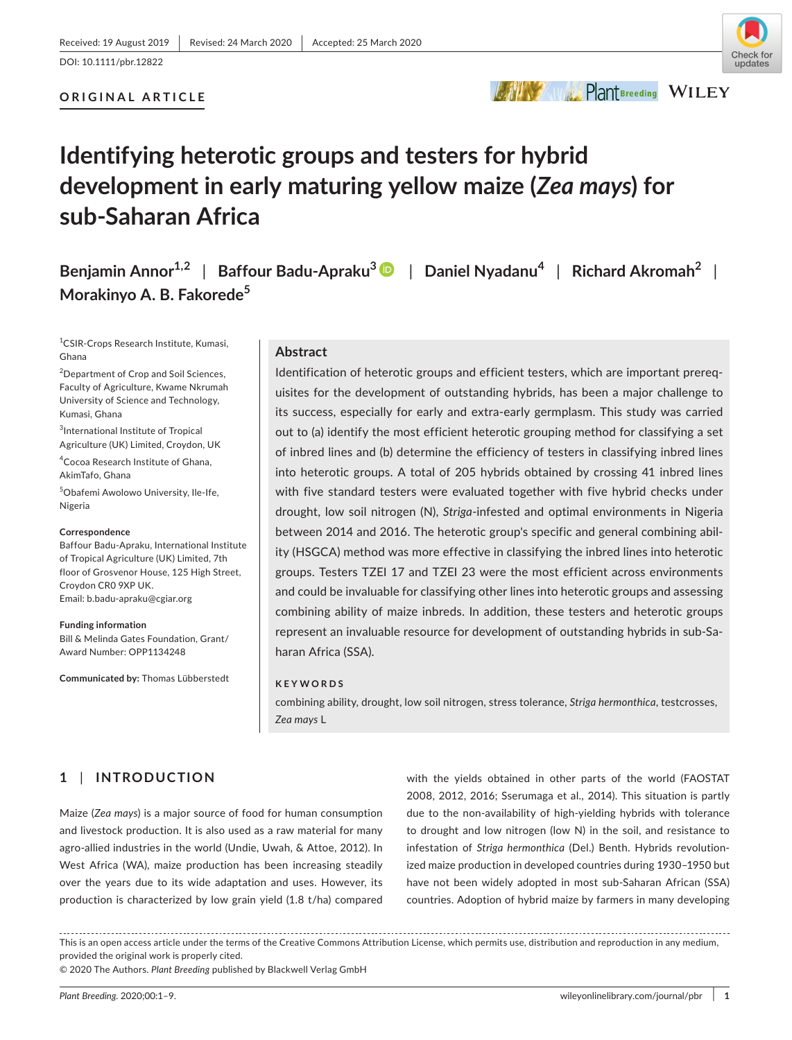## **ORIGINAL ARTICLE**

# **Identifying heterotic groups and testers for hybrid development in early maturing yellow maize (***Zea mays***) for sub-Saharan Africa**

**Benjamin Annor1,2** | **Baffour Badu-Apraku[3](https://orcid.org/0000-0003-0113-5487)** | **Daniel Nyadanu<sup>4</sup>** | **Richard Akromah2** | **Morakinyo A. B. Fakorede<sup>5</sup>**

1 CSIR-Crops Research Institute, Kumasi, Ghana

<sup>2</sup>Department of Crop and Soil Sciences, Faculty of Agriculture, Kwame Nkrumah University of Science and Technology, Kumasi, Ghana

3 International Institute of Tropical Agriculture (UK) Limited, Croydon, UK

4 Cocoa Research Institute of Ghana, AkimTafo, Ghana

5 Obafemi Awolowo University, Ile-Ife, Nigeria

#### **Correspondence**

Baffour Badu-Apraku, International Institute of Tropical Agriculture (UK) Limited, 7th floor of Grosvenor House, 125 High Street, Croydon CR0 9XP UK. Email: [b.badu-apraku@cgiar.org](mailto:b.badu-apraku@cgiar.org)

**Funding information** Bill & Melinda Gates Foundation, Grant/ Award Number: OPP1134248

**Communicated by:** Thomas Lübberstedt

## **Abstract**

Identification of heterotic groups and efficient testers, which are important prerequisites for the development of outstanding hybrids, has been a major challenge to its success, especially for early and extra-early germplasm. This study was carried out to (a) identify the most efficient heterotic grouping method for classifying a set of inbred lines and (b) determine the efficiency of testers in classifying inbred lines into heterotic groups. A total of 205 hybrids obtained by crossing 41 inbred lines with five standard testers were evaluated together with five hybrid checks under drought, low soil nitrogen (N), *Striga*-infested and optimal environments in Nigeria between 2014 and 2016. The heterotic group's specific and general combining ability (HSGCA) method was more effective in classifying the inbred lines into heterotic groups. Testers TZEI 17 and TZEI 23 were the most efficient across environments and could be invaluable for classifying other lines into heterotic groups and assessing combining ability of maize inbreds. In addition, these testers and heterotic groups represent an invaluable resource for development of outstanding hybrids in sub-Saharan Africa (SSA).

#### **KEYWORDS**

combining ability, drought, low soil nitrogen, stress tolerance, *Striga hermonthica*, testcrosses, *Zea mays* L

# **1** | **INTRODUCTION**

Maize (*Zea mays*) is a major source of food for human consumption and livestock production. It is also used as a raw material for many agro-allied industries in the world (Undie, Uwah, & Attoe, 2012). In West Africa (WA), maize production has been increasing steadily over the years due to its wide adaptation and uses. However, its production is characterized by low grain yield (1.8 t/ha) compared

with the yields obtained in other parts of the world (FAOSTAT 2008, 2012, 2016; Sserumaga et al., 2014). This situation is partly due to the non-availability of high-yielding hybrids with tolerance to drought and low nitrogen (low N) in the soil, and resistance to infestation of *Striga hermonthica* (Del.) Benth. Hybrids revolutionized maize production in developed countries during 1930–1950 but have not been widely adopted in most sub-Saharan African (SSA) countries. Adoption of hybrid maize by farmers in many developing

This is an open access article under the terms of the [Creative Commons Attribution](http://creativecommons.org/licenses/by/4.0/) License, which permits use, distribution and reproduction in any medium, provided the original work is properly cited.

© 2020 The Authors. *Plant Breeding* published by Blackwell Verlag GmbH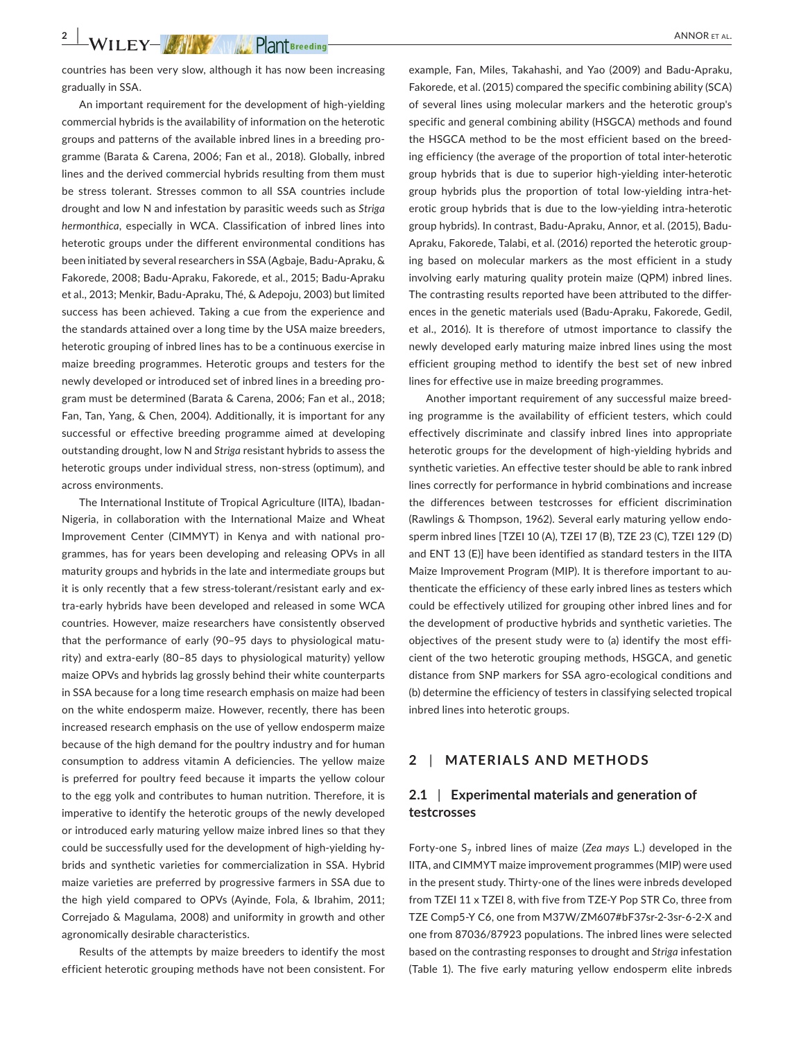countries has been very slow, although it has now been increasing gradually in SSA.

An important requirement for the development of high-yielding commercial hybrids is the availability of information on the heterotic groups and patterns of the available inbred lines in a breeding programme (Barata & Carena, 2006; Fan et al., 2018). Globally, inbred lines and the derived commercial hybrids resulting from them must be stress tolerant. Stresses common to all SSA countries include drought and low N and infestation by parasitic weeds such as *Striga hermonthica*, especially in WCA. Classification of inbred lines into heterotic groups under the different environmental conditions has been initiated by several researchers in SSA (Agbaje, Badu-Apraku, & Fakorede, 2008; Badu-Apraku, Fakorede, et al., 2015; Badu-Apraku et al., 2013; Menkir, Badu-Apraku, Thé, & Adepoju, 2003) but limited success has been achieved. Taking a cue from the experience and the standards attained over a long time by the USA maize breeders, heterotic grouping of inbred lines has to be a continuous exercise in maize breeding programmes. Heterotic groups and testers for the newly developed or introduced set of inbred lines in a breeding program must be determined (Barata & Carena, 2006; Fan et al., 2018; Fan, Tan, Yang, & Chen, 2004). Additionally, it is important for any successful or effective breeding programme aimed at developing outstanding drought, low N and *Striga* resistant hybrids to assess the heterotic groups under individual stress, non-stress (optimum), and across environments.

The International Institute of Tropical Agriculture (IITA), Ibadan-Nigeria, in collaboration with the International Maize and Wheat Improvement Center (CIMMYT) in Kenya and with national programmes, has for years been developing and releasing OPVs in all maturity groups and hybrids in the late and intermediate groups but it is only recently that a few stress-tolerant/resistant early and extra-early hybrids have been developed and released in some WCA countries. However, maize researchers have consistently observed that the performance of early (90–95 days to physiological maturity) and extra-early (80–85 days to physiological maturity) yellow maize OPVs and hybrids lag grossly behind their white counterparts in SSA because for a long time research emphasis on maize had been on the white endosperm maize. However, recently, there has been increased research emphasis on the use of yellow endosperm maize because of the high demand for the poultry industry and for human consumption to address vitamin A deficiencies. The yellow maize is preferred for poultry feed because it imparts the yellow colour to the egg yolk and contributes to human nutrition. Therefore, it is imperative to identify the heterotic groups of the newly developed or introduced early maturing yellow maize inbred lines so that they could be successfully used for the development of high-yielding hybrids and synthetic varieties for commercialization in SSA. Hybrid maize varieties are preferred by progressive farmers in SSA due to the high yield compared to OPVs (Ayinde, Fola, & Ibrahim, 2011; Correjado & Magulama, 2008) and uniformity in growth and other agronomically desirable characteristics.

Results of the attempts by maize breeders to identify the most efficient heterotic grouping methods have not been consistent. For

example, Fan, Miles, Takahashi, and Yao (2009) and Badu-Apraku, Fakorede, et al. (2015) compared the specific combining ability (SCA) of several lines using molecular markers and the heterotic group's specific and general combining ability (HSGCA) methods and found the HSGCA method to be the most efficient based on the breeding efficiency (the average of the proportion of total inter-heterotic group hybrids that is due to superior high-yielding inter-heterotic group hybrids plus the proportion of total low-yielding intra-heterotic group hybrids that is due to the low-yielding intra-heterotic group hybrids). In contrast, Badu-Apraku, Annor, et al. (2015), Badu-Apraku, Fakorede, Talabi, et al. (2016) reported the heterotic grouping based on molecular markers as the most efficient in a study involving early maturing quality protein maize (QPM) inbred lines. The contrasting results reported have been attributed to the differences in the genetic materials used (Badu-Apraku, Fakorede, Gedil, et al., 2016). It is therefore of utmost importance to classify the newly developed early maturing maize inbred lines using the most efficient grouping method to identify the best set of new inbred lines for effective use in maize breeding programmes.

Another important requirement of any successful maize breeding programme is the availability of efficient testers, which could effectively discriminate and classify inbred lines into appropriate heterotic groups for the development of high-yielding hybrids and synthetic varieties. An effective tester should be able to rank inbred lines correctly for performance in hybrid combinations and increase the differences between testcrosses for efficient discrimination (Rawlings & Thompson, 1962). Several early maturing yellow endosperm inbred lines [TZEI 10 (A), TZEI 17 (B), TZE 23 (C), TZEI 129 (D) and ENT 13 (E)] have been identified as standard testers in the IITA Maize Improvement Program (MIP). It is therefore important to authenticate the efficiency of these early inbred lines as testers which could be effectively utilized for grouping other inbred lines and for the development of productive hybrids and synthetic varieties. The objectives of the present study were to (a) identify the most efficient of the two heterotic grouping methods, HSGCA, and genetic distance from SNP markers for SSA agro-ecological conditions and (b) determine the efficiency of testers in classifying selected tropical inbred lines into heterotic groups.

## **2** | **MATERIALS AND METHODS**

## **2.1** | **Experimental materials and generation of testcrosses**

Forty-one S<sub>7</sub> inbred lines of maize (*Zea mays L.*) developed in the IITA, and CIMMYT maize improvement programmes (MIP) were used in the present study. Thirty-one of the lines were inbreds developed from TZEI 11 x TZEI 8, with five from TZE-Y Pop STR Co, three from TZE Comp5-Y C6, one from M37W/ZM607#bF37sr-2-3sr-6-2-X and one from 87036/87923 populations. The inbred lines were selected based on the contrasting responses to drought and *Striga* infestation (Table 1). The five early maturing yellow endosperm elite inbreds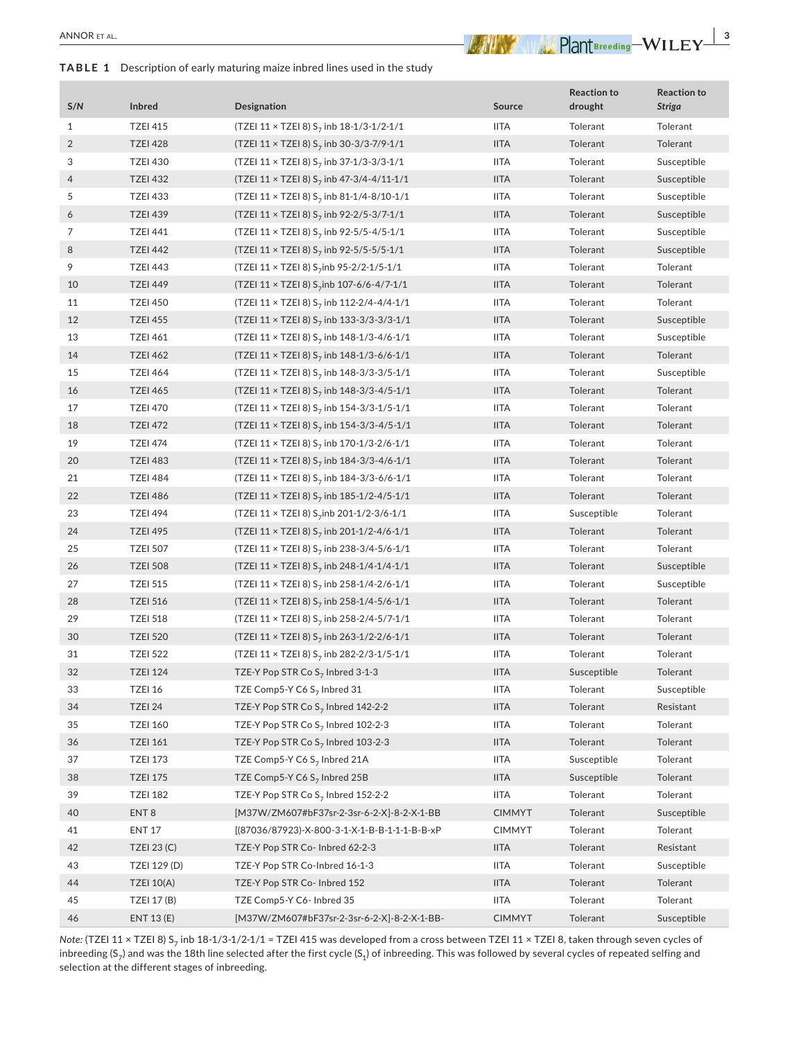**TABLE 1** Description of early maturing maize inbred lines used in the study

|  |  | × |
|--|--|---|
|  |  |   |

| S/N            | <b>Inbred</b>      | <b>Designation</b>                                           | Source                       | <b>Reaction to</b><br>drought | <b>Reaction to</b><br><b>Striga</b> |
|----------------|--------------------|--------------------------------------------------------------|------------------------------|-------------------------------|-------------------------------------|
| $\mathbf{1}$   | <b>TZEI 415</b>    | (TZEI 11 × TZEI 8) $S_7$ inb 18-1/3-1/2-1/1                  | <b>IITA</b>                  | Tolerant                      | Tolerant                            |
| $\overline{2}$ | <b>TZEI 428</b>    | (TZEI 11 $\times$ TZEI 8) S <sub>7</sub> inb 30-3/3-7/9-1/1  | <b>IITA</b>                  | Tolerant                      | Tolerant                            |
| 3              | <b>TZEI 430</b>    | (TZEI 11 × TZEI 8) $S_7$ inb 37-1/3-3/3-1/1                  | <b>IITA</b>                  | Tolerant                      | Susceptible                         |
| 4              | <b>TZEI 432</b>    | (TZEI 11 × TZEI 8) $S_7$ inb 47-3/4-4/11-1/1                 | <b>IITA</b>                  | Tolerant                      | Susceptible                         |
| 5              | <b>TZEI 433</b>    | (TZEI 11 × TZEI 8) $S_7$ inb 81-1/4-8/10-1/1                 | <b>IITA</b>                  | Tolerant                      | Susceptible                         |
| 6              | <b>TZEI 439</b>    | (TZEI 11 $\times$ TZEI 8) S <sub>7</sub> inb 92-2/5-3/7-1/1  | <b>IITA</b>                  | Tolerant                      | Susceptible                         |
| 7              | <b>TZEI 441</b>    | (TZEI 11 × TZEI 8) S <sub>7</sub> inb 92-5/5-4/5-1/1         | <b>IITA</b>                  | Tolerant                      | Susceptible                         |
| 8              | <b>TZEI 442</b>    | (TZEI 11 × TZEI 8) $S_7$ inb 92-5/5-5/5-1/1                  | <b>IITA</b>                  | Tolerant                      | Susceptible                         |
| 9              | <b>TZEI 443</b>    | (TZEI 11 × TZEI 8) S <sub>7</sub> inb 95-2/2-1/5-1/1         | <b>IITA</b>                  | Tolerant                      | Tolerant                            |
| 10             | <b>TZEI 449</b>    | (TZEI 11 × TZEI 8) S <sub>7</sub> inb 107-6/6-4/7-1/1        | <b>IITA</b>                  | Tolerant                      | Tolerant                            |
| 11             | <b>TZEI 450</b>    | (TZEI 11 × TZEI 8) S <sub>7</sub> inb 112-2/4-4/4-1/1        | <b>IITA</b>                  | Tolerant                      | Tolerant                            |
| 12             | <b>TZEI 455</b>    | (TZEI 11 $\times$ TZEI 8) S <sub>7</sub> inb 133-3/3-3/3-1/1 | <b>IITA</b>                  | Tolerant                      | Susceptible                         |
| 13             | <b>TZEI 461</b>    | (TZEI 11 × TZEI 8) S <sub>7</sub> inb 148-1/3-4/6-1/1        | <b>IITA</b>                  | Tolerant                      | Susceptible                         |
| 14             | <b>TZEI 462</b>    | (TZEI 11 × TZEI 8) S <sub>7</sub> inb 148-1/3-6/6-1/1        | <b>IITA</b>                  | Tolerant                      | Tolerant                            |
| 15             | <b>TZEI 464</b>    | (TZEI 11 × TZEI 8) $S_7$ inb 148-3/3-3/5-1/1                 | <b>IITA</b>                  | Tolerant                      | Susceptible                         |
| 16             | <b>TZEI 465</b>    | (TZEI 11 × TZEI 8) $S_7$ inb 148-3/3-4/5-1/1                 | <b>IITA</b>                  | Tolerant                      | Tolerant                            |
| 17             | <b>TZEI 470</b>    | (TZEI 11 × TZEI 8) $S_7$ inb 154-3/3-1/5-1/1                 | <b>IITA</b>                  | Tolerant                      | Tolerant                            |
| 18             | <b>TZEI 472</b>    | (TZEI 11 × TZEI 8) S <sub>7</sub> inb 154-3/3-4/5-1/1        | <b>IITA</b>                  | Tolerant                      | Tolerant                            |
| 19             | <b>TZEI 474</b>    | (TZEI 11 × TZEI 8) $S_7$ inb 170-1/3-2/6-1/1                 | <b>IITA</b>                  | Tolerant                      | Tolerant                            |
| 20             | <b>TZEI 483</b>    | (TZEI 11 × TZEI 8) $S_7$ inb 184-3/3-4/6-1/1                 | <b>IITA</b>                  | Tolerant                      | Tolerant                            |
| 21             | <b>TZEI 484</b>    | (TZEI 11 × TZEI 8) S <sub>7</sub> inb 184-3/3-6/6-1/1        | <b>IITA</b>                  | Tolerant                      | Tolerant                            |
| 22             | <b>TZEI 486</b>    | (TZEI 11 × TZEI 8) S <sub>7</sub> inb 185-1/2-4/5-1/1        | <b>IITA</b>                  | Tolerant                      | Tolerant                            |
| 23             | <b>TZEI 494</b>    | (TZEI 11 × TZEI 8) S <sub>7</sub> inb 201-1/2-3/6-1/1        | <b>IITA</b>                  | Susceptible                   | Tolerant                            |
| 24             | <b>TZEI 495</b>    | (TZEI 11 × TZEI 8) $S_7$ inb 201-1/2-4/6-1/1                 | <b>IITA</b>                  | Tolerant                      | Tolerant                            |
| 25             | <b>TZEI 507</b>    | (TZEI 11 × TZEI 8) $S_7$ inb 238-3/4-5/6-1/1                 | <b>IITA</b>                  | Tolerant                      | Tolerant                            |
| 26             | <b>TZEI 508</b>    | (TZEI 11 × TZEI 8) S <sub>7</sub> inb 248-1/4-1/4-1/1        | <b>IITA</b>                  | Tolerant                      | Susceptible                         |
| 27             | <b>TZEI 515</b>    | (TZEI 11 × TZEI 8) $S_7$ inb 258-1/4-2/6-1/1                 | <b>IITA</b>                  | Tolerant                      | Susceptible                         |
| 28             | <b>TZEI 516</b>    | (TZEI 11 × TZEI 8) $S_7$ inb 258-1/4-5/6-1/1                 | <b>IITA</b>                  | Tolerant                      | Tolerant                            |
| 29             | <b>TZEI 518</b>    | (TZEI 11 × TZEI 8) $S_7$ inb 258-2/4-5/7-1/1                 | <b>IITA</b>                  | Tolerant                      | Tolerant                            |
| 30             | <b>TZEI 520</b>    | (TZEI 11 × TZEI 8) $S_7$ inb 263-1/2-2/6-1/1                 | <b>IITA</b>                  | Tolerant                      | Tolerant                            |
| 31             | <b>TZEI 522</b>    | (TZEI 11 × TZEI 8) $S_7$ inb 282-2/3-1/5-1/1                 | <b>IITA</b>                  | Tolerant                      | Tolerant                            |
| 32             | <b>TZEI 124</b>    | TZE-Y Pop STR Co $S_7$ Inbred 3-1-3                          | <b>IITA</b>                  | Susceptible                   | Tolerant                            |
| 33             | <b>TZEI 16</b>     | TZE Comp5-Y C6 S <sub>7</sub> Inbred 31                      | <b>IITA</b>                  | Tolerant                      | Susceptible                         |
| 34             | TZEI 24            | TZE-Y Pop STR Co $S_7$ Inbred 142-2-2                        | <b>IITA</b>                  | Tolerant                      | Resistant                           |
| 35             | <b>TZEI 160</b>    | TZE-Y Pop STR Co $S_7$ Inbred 102-2-3                        | <b>IITA</b>                  | Tolerant                      | Tolerant                            |
| 36             | <b>TZEI 161</b>    | TZE-Y Pop STR Co $S_7$ Inbred 103-2-3                        | <b>IITA</b>                  | Tolerant                      | Tolerant                            |
| 37             | <b>TZEI 173</b>    | TZE Comp5-Y C6 $S_7$ Inbred 21A                              | <b>IITA</b>                  | Susceptible                   | Tolerant                            |
| 38             | <b>TZEI 175</b>    | TZE Comp5-Y C6 S <sub>7</sub> Inbred 25B                     | <b>IITA</b>                  | Susceptible                   | Tolerant                            |
| 39             | <b>TZEI 182</b>    | TZE-Y Pop STR Co $S_7$ Inbred 152-2-2                        | <b>IITA</b>                  | Tolerant                      | Tolerant                            |
| 40             | ENT <sub>8</sub>   | [M37W/ZM607#bF37sr-2-3sr-6-2-X]-8-2-X-1-BB                   | <b>CIMMYT</b>                | Tolerant                      | Susceptible                         |
| 41             | <b>ENT 17</b>      | [(87036/87923)-X-800-3-1-X-1-B-B-1-1-1-B-B-xP                | <b>CIMMYT</b>                | Tolerant                      | Tolerant                            |
| 42             | <b>TZEI 23 (C)</b> | TZE-Y Pop STR Co- Inbred 62-2-3                              | $\ensuremath{\mathsf{IITA}}$ | Tolerant                      | Resistant                           |
| 43             | TZEI 129 (D)       | TZE-Y Pop STR Co-Inbred 16-1-3                               | <b>IITA</b>                  | Tolerant                      | Susceptible                         |
| 44             | <b>TZEI 10(A)</b>  | TZE-Y Pop STR Co- Inbred 152                                 | $\ensuremath{\mathsf{IITA}}$ | Tolerant                      | Tolerant                            |
| 45             | TZEI 17 (B)        | TZE Comp5-Y C6- Inbred 35                                    | <b>IITA</b>                  | Tolerant                      | Tolerant                            |
| 46             | ENT 13 (E)         | [M37W/ZM607#bF37sr-2-3sr-6-2-X]-8-2-X-1-BB-                  | <b>CIMMYT</b>                | Tolerant                      | Susceptible                         |

*Note:* (TZEI 11 × TZEI 8) S<sub>7</sub> inb 18-1/3-1/2-1/1 = TZEI 415 was developed from a cross between TZEI 11 × TZEI 8, taken through seven cycles of inbreeding  $(S_7)$  and was the 18th line selected after the first cycle  $(S_1)$  of inbreeding. This was followed by several cycles of repeated selfing and selection at the different stages of inbreeding.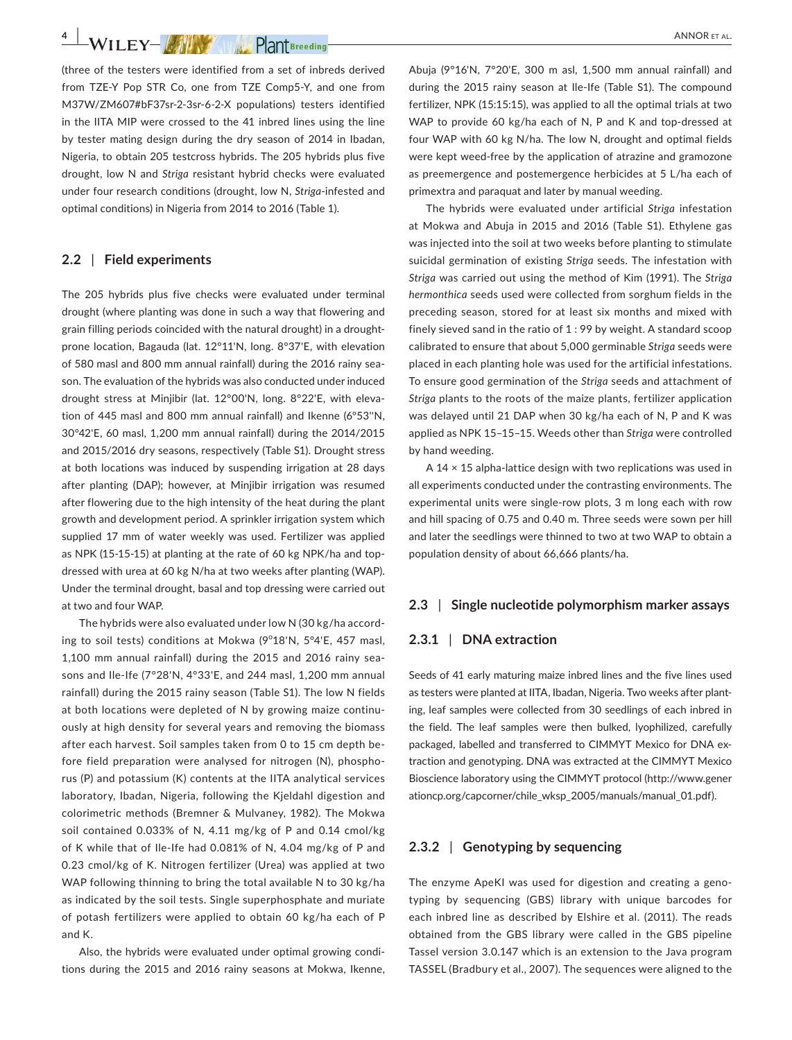**4 WILEY- ANNOR ET AL. ANNOR ET AL. ANNOR ET AL.** 

(three of the testers were identified from a set of inbreds derived from TZE-Y Pop STR Co, one from TZE Comp5-Y, and one from M37W/ZM607#bF37sr-2-3sr-6-2-X populations) testers identified in the IITA MIP were crossed to the 41 inbred lines using the line by tester mating design during the dry season of 2014 in Ibadan, Nigeria, to obtain 205 testcross hybrids. The 205 hybrids plus five drought, low N and *Striga* resistant hybrid checks were evaluated under four research conditions (drought, low N, *Striga*-infested and optimal conditions) in Nigeria from 2014 to 2016 (Table 1).

### **2.2** | **Field experiments**

The 205 hybrids plus five checks were evaluated under terminal drought (where planting was done in such a way that flowering and grain filling periods coincided with the natural drought) in a droughtprone location, Bagauda (lat. 12°11'N, long. 8°37'E, with elevation of 580 masl and 800 mm annual rainfall) during the 2016 rainy season. The evaluation of the hybrids was also conducted under induced drought stress at Minjibir (lat. 12°00'N, long. 8°22'E, with elevation of 445 masl and 800 mm annual rainfall) and Ikenne (6°53''N, 30°42'E, 60 masl, 1,200 mm annual rainfall) during the 2014/2015 and 2015/2016 dry seasons, respectively (Table S1). Drought stress at both locations was induced by suspending irrigation at 28 days after planting (DAP); however, at Minjibir irrigation was resumed after flowering due to the high intensity of the heat during the plant growth and development period. A sprinkler irrigation system which supplied 17 mm of water weekly was used. Fertilizer was applied as NPK (15-15-15) at planting at the rate of 60 kg NPK/ha and topdressed with urea at 60 kg N/ha at two weeks after planting (WAP). Under the terminal drought, basal and top dressing were carried out at two and four WAP.

The hybrids were also evaluated under low N (30 kg/ha according to soil tests) conditions at Mokwa (9°18'N, 5°4'E, 457 masl, 1,100 mm annual rainfall) during the 2015 and 2016 rainy seasons and Ile-Ife (7°28'N, 4°33'E, and 244 masl, 1,200 mm annual rainfall) during the 2015 rainy season (Table S1). The low N fields at both locations were depleted of N by growing maize continuously at high density for several years and removing the biomass after each harvest. Soil samples taken from 0 to 15 cm depth before field preparation were analysed for nitrogen (N), phosphorus (P) and potassium (K) contents at the IITA analytical services laboratory, Ibadan, Nigeria, following the Kjeldahl digestion and colorimetric methods (Bremner & Mulvaney, 1982). The Mokwa soil contained 0.033% of N, 4.11 mg/kg of P and 0.14 cmol/kg of K while that of Ile-Ife had 0.081% of N, 4.04 mg/kg of P and 0.23 cmol/kg of K. Nitrogen fertilizer (Urea) was applied at two WAP following thinning to bring the total available N to 30 kg/ha as indicated by the soil tests. Single superphosphate and muriate of potash fertilizers were applied to obtain 60 kg/ha each of P and K.

Also, the hybrids were evaluated under optimal growing conditions during the 2015 and 2016 rainy seasons at Mokwa, Ikenne,

Abuja (9°16'N, 7°20'E, 300 m asl, 1,500 mm annual rainfall) and during the 2015 rainy season at Ile-Ife (Table S1). The compound fertilizer, NPK (15:15:15), was applied to all the optimal trials at two WAP to provide 60 kg/ha each of N, P and K and top-dressed at four WAP with 60 kg N/ha. The low N, drought and optimal fields were kept weed-free by the application of atrazine and gramozone as preemergence and postemergence herbicides at 5 L/ha each of primextra and paraquat and later by manual weeding.

The hybrids were evaluated under artificial *Striga* infestation at Mokwa and Abuja in 2015 and 2016 (Table S1). Ethylene gas was injected into the soil at two weeks before planting to stimulate suicidal germination of existing *Striga* seeds. The infestation with *Striga* was carried out using the method of Kim (1991). The *Striga hermonthica* seeds used were collected from sorghum fields in the preceding season, stored for at least six months and mixed with finely sieved sand in the ratio of 1 : 99 by weight. A standard scoop calibrated to ensure that about 5,000 germinable *Striga* seeds were placed in each planting hole was used for the artificial infestations. To ensure good germination of the *Striga* seeds and attachment of *Striga* plants to the roots of the maize plants, fertilizer application was delayed until 21 DAP when 30 kg/ha each of N, P and K was applied as NPK 15–15–15. Weeds other than *Striga* were controlled by hand weeding.

A 14 × 15 alpha-lattice design with two replications was used in all experiments conducted under the contrasting environments. The experimental units were single-row plots, 3 m long each with row and hill spacing of 0.75 and 0.40 m. Three seeds were sown per hill and later the seedlings were thinned to two at two WAP to obtain a population density of about 66,666 plants/ha.

#### **2.3** | **Single nucleotide polymorphism marker assays**

## **2.3.1** | **DNA extraction**

Seeds of 41 early maturing maize inbred lines and the five lines used as testers were planted at IITA, Ibadan, Nigeria. Two weeks after planting, leaf samples were collected from 30 seedlings of each inbred in the field. The leaf samples were then bulked, lyophilized, carefully packaged, labelled and transferred to CIMMYT Mexico for DNA extraction and genotyping. DNA was extracted at the CIMMYT Mexico Bioscience laboratory using the CIMMYT protocol ([http://www.gener](http://www.generationcp.org/capcorner/chile_wksp_2005/manuals/manual_01.pdf) [ationcp.org/capcorner/chile\\_wksp\\_2005/manuals/manual\\_01.pdf](http://www.generationcp.org/capcorner/chile_wksp_2005/manuals/manual_01.pdf)).

### **2.3.2** | **Genotyping by sequencing**

The enzyme ApeKI was used for digestion and creating a genotyping by sequencing (GBS) library with unique barcodes for each inbred line as described by Elshire et al. (2011). The reads obtained from the GBS library were called in the GBS pipeline Tassel version 3.0.147 which is an extension to the Java program TASSEL (Bradbury et al., 2007). The sequences were aligned to the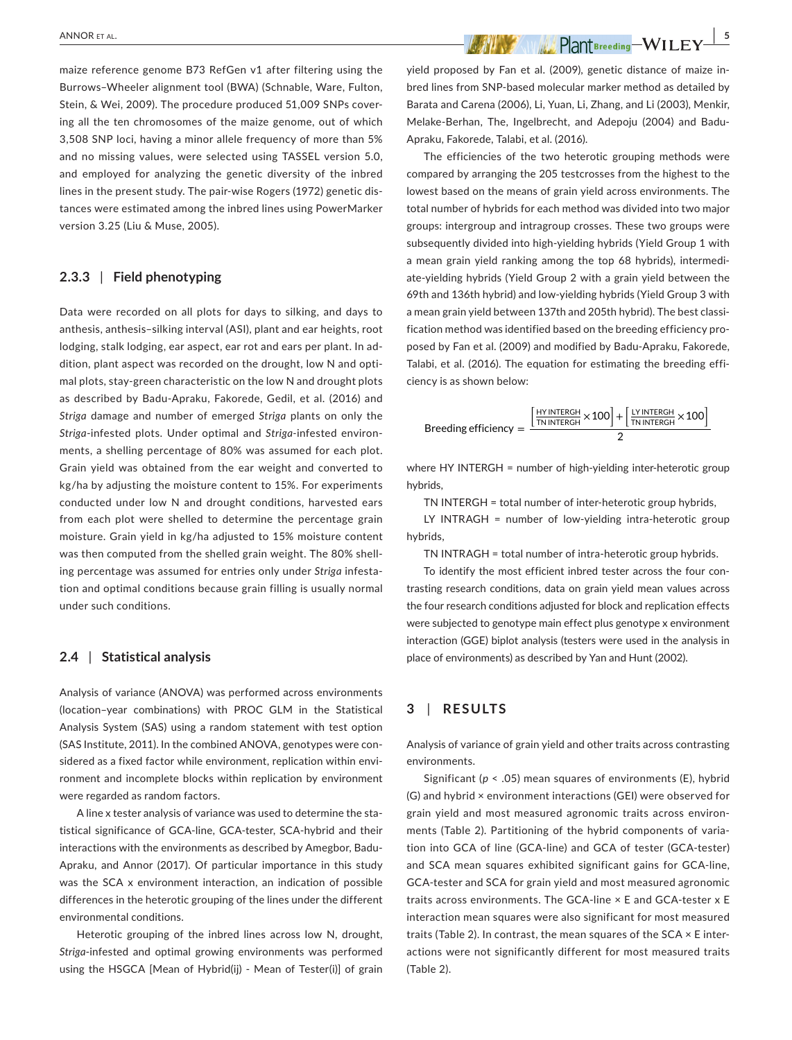maize reference genome B73 RefGen v1 after filtering using the Burrows–Wheeler alignment tool (BWA) (Schnable, Ware, Fulton, Stein, & Wei, 2009). The procedure produced 51,009 SNPs covering all the ten chromosomes of the maize genome, out of which 3,508 SNP loci, having a minor allele frequency of more than 5% and no missing values, were selected using TASSEL version 5.0, and employed for analyzing the genetic diversity of the inbred lines in the present study. The pair-wise Rogers (1972) genetic distances were estimated among the inbred lines using PowerMarker version 3.25 (Liu & Muse, 2005).

### **2.3.3** | **Field phenotyping**

Data were recorded on all plots for days to silking, and days to anthesis, anthesis–silking interval (ASI), plant and ear heights, root lodging, stalk lodging, ear aspect, ear rot and ears per plant. In addition, plant aspect was recorded on the drought, low N and optimal plots, stay-green characteristic on the low N and drought plots as described by Badu-Apraku, Fakorede, Gedil, et al. (2016) and *Striga* damage and number of emerged *Striga* plants on only the *Striga*-infested plots. Under optimal and *Striga-*infested environments, a shelling percentage of 80% was assumed for each plot. Grain yield was obtained from the ear weight and converted to kg/ha by adjusting the moisture content to 15%. For experiments conducted under low N and drought conditions, harvested ears from each plot were shelled to determine the percentage grain moisture. Grain yield in kg/ha adjusted to 15% moisture content was then computed from the shelled grain weight. The 80% shelling percentage was assumed for entries only under *Striga* infestation and optimal conditions because grain filling is usually normal under such conditions.

## **2.4** | **Statistical analysis**

Analysis of variance (ANOVA) was performed across environments (location–year combinations) with PROC GLM in the Statistical Analysis System (SAS) using a random statement with test option (SAS Institute, 2011). In the combined ANOVA, genotypes were considered as a fixed factor while environment, replication within environment and incomplete blocks within replication by environment were regarded as random factors.

A line x tester analysis of variance was used to determine the statistical significance of GCA-line, GCA-tester, SCA-hybrid and their interactions with the environments as described by Amegbor, Badu-Apraku, and Annor (2017). Of particular importance in this study was the SCA x environment interaction, an indication of possible differences in the heterotic grouping of the lines under the different environmental conditions.

Heterotic grouping of the inbred lines across low N, drought, *Striga*-infested and optimal growing environments was performed using the HSGCA [Mean of Hybrid(ij) - Mean of Tester(i)] of grain yield proposed by Fan et al. (2009), genetic distance of maize inbred lines from SNP-based molecular marker method as detailed by Barata and Carena (2006), Li, Yuan, Li, Zhang, and Li (2003), Menkir, Melake-Berhan, The, Ingelbrecht, and Adepoju (2004) and Badu-Apraku, Fakorede, Talabi, et al. (2016).

The efficiencies of the two heterotic grouping methods were compared by arranging the 205 testcrosses from the highest to the lowest based on the means of grain yield across environments. The total number of hybrids for each method was divided into two major groups: intergroup and intragroup crosses. These two groups were subsequently divided into high-yielding hybrids (Yield Group 1 with a mean grain yield ranking among the top 68 hybrids), intermediate-yielding hybrids (Yield Group 2 with a grain yield between the 69th and 136th hybrid) and low-yielding hybrids (Yield Group 3 with a mean grain yield between 137th and 205th hybrid). The best classification method was identified based on the breeding efficiency proposed by Fan et al. (2009) and modified by Badu-Apraku, Fakorede, Talabi, et al. (2016). The equation for estimating the breeding efficiency is as shown below:

$$
Breeding efficiency = \frac{F_{\text{TN INTERGH}}}{F_{\text{N INTERGH}} \times 100} + F_{\text{TN INTERGH}} \times 100
$$

where HY INTERGH = number of high-yielding inter-heterotic group hybrids,

TN INTERGH = total number of inter-heterotic group hybrids,

LY INTRAGH = number of low-yielding intra-heterotic group hybrids,

TN INTRAGH = total number of intra-heterotic group hybrids.

To identify the most efficient inbred tester across the four contrasting research conditions, data on grain yield mean values across the four research conditions adjusted for block and replication effects were subjected to genotype main effect plus genotype x environment interaction (GGE) biplot analysis (testers were used in the analysis in place of environments) as described by Yan and Hunt (2002).

## **3** | **RESULTS**

Analysis of variance of grain yield and other traits across contrasting environments.

Significant (*p* < .05) mean squares of environments (E), hybrid (G) and hybrid × environment interactions (GEI) were observed for grain yield and most measured agronomic traits across environments (Table 2). Partitioning of the hybrid components of variation into GCA of line (GCA-line) and GCA of tester (GCA-tester) and SCA mean squares exhibited significant gains for GCA-line, GCA-tester and SCA for grain yield and most measured agronomic traits across environments. The GCA-line × E and GCA-tester x E interaction mean squares were also significant for most measured traits (Table 2). In contrast, the mean squares of the SCA × E interactions were not significantly different for most measured traits (Table 2).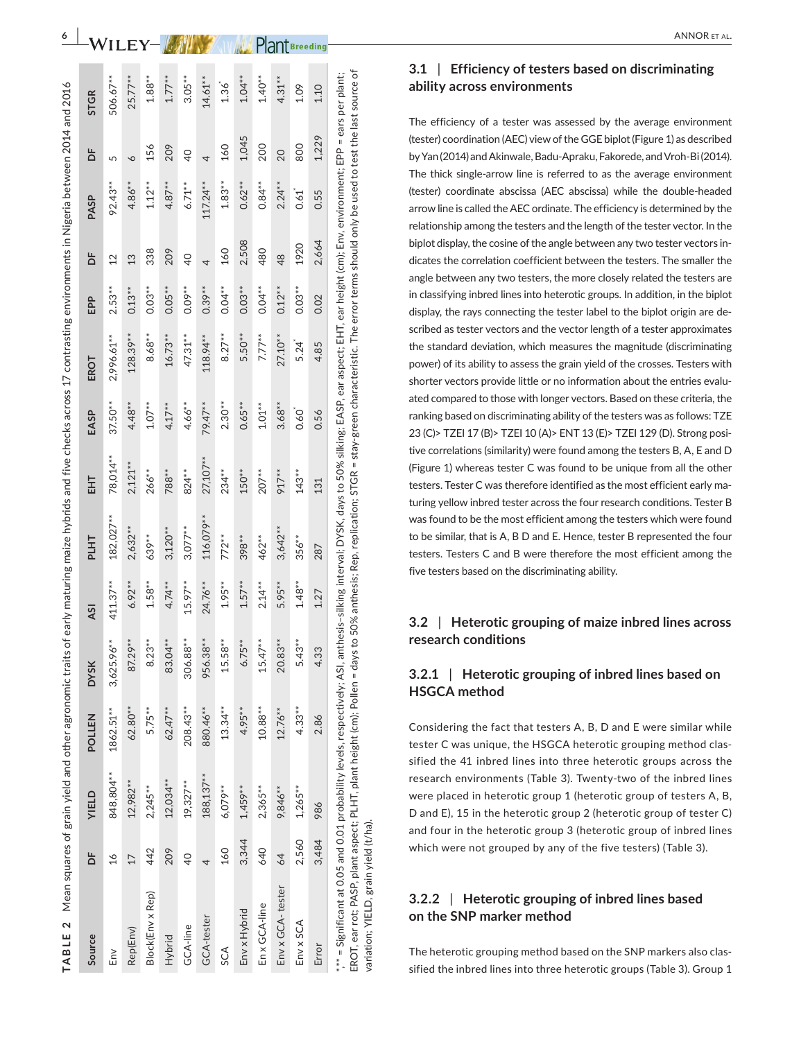|                         |                | TABLE 2 Mean squares of grain yield and other agronomic traits of early maturing maize hybrids and five checks across 17 contrasting environments in Nigeria between 2014 and 2016                                                                                                                                                                                                                                               |              |               |            |             |            |                  |             |           |                 |                     |                 |                     |
|-------------------------|----------------|----------------------------------------------------------------------------------------------------------------------------------------------------------------------------------------------------------------------------------------------------------------------------------------------------------------------------------------------------------------------------------------------------------------------------------|--------------|---------------|------------|-------------|------------|------------------|-------------|-----------|-----------------|---------------------|-----------------|---------------------|
| Source                  | ă              | <b>YIELD</b>                                                                                                                                                                                                                                                                                                                                                                                                                     | POLLEN       | <b>DYSK</b>   | <b>ASI</b> | <b>PLHT</b> | 玉          | EASP             | EROT        | EPP       | ă               | PASP                | ă               | <b>STGR</b>         |
| $\widetilde{\text{Em}}$ | $\frac{6}{1}$  | 848,804**                                                                                                                                                                                                                                                                                                                                                                                                                        | $1862.51***$ | $3,625.96***$ | $411.37**$ | 182,027**   | 78,014**   | $37.50**$        | 2,996.61**  | $2.53**$  | $\overline{12}$ | 92.43**             | 5               | 506.67**            |
| Rep(Env)                | 17             | $12,982***$                                                                                                                                                                                                                                                                                                                                                                                                                      | 62.80**      | 87.29**       | $6.92***$  | $2,632***$  | $2,121***$ | $4.48**$         | $128.39***$ | $0.13**$  | $\frac{3}{2}$   | $4.86***$           | $\check{\circ}$ | $25.77***$          |
| Block(Env x Rep)        | 442            | $2,245**$                                                                                                                                                                                                                                                                                                                                                                                                                        | 5.75**       | $8.23**$      | $1.58**$   | 639**       | 266**      | $1.07***$        | 8.68**      | $0.03**$  | 338             | $1.12***$           | 156             | $1.88***$           |
| Hybrid                  | 209            | $12,034**$                                                                                                                                                                                                                                                                                                                                                                                                                       | $62.47**$    | 83.04**       | $4.74**$   | $3,120**$   | 788**      | $4.17**$         | $16.73**$   | $0.05**$  | 209             | $4.87**$            | 209             | $1.77***$           |
| GCA-line                | $\overline{6}$ | $19,327**$                                                                                                                                                                                                                                                                                                                                                                                                                       | 208.43**     | 306.88**      | $15.97***$ | $3,077**$   | 824**      | $4.66***$        | 47.31**     | $0.09**$  | $\overline{Q}$  | $6.71***$           | $\overline{0}$  | $3.05**$            |
| GCA-tester              | 4              | 188,137**                                                                                                                                                                                                                                                                                                                                                                                                                        | 880.46**     | 956.38**      | 24.76**    | 116,079 **  | 27,107**   | 79.47**          | $118.94***$ | $0.39***$ | 4               | 117.24**            | 4               | $14.61***$          |
| SCA                     | 160            | 6,079**                                                                                                                                                                                                                                                                                                                                                                                                                          | $13.34***$   | $15.58***$    | $1.95***$  | $772**$     | 234**      | $2.30**$         | $8.27**$    | $0.04**$  | 160             | $1.83**$            | 160             | $1.36$ <sup>2</sup> |
| Env x Hybrid            |                | $1,459***$<br>3,344                                                                                                                                                                                                                                                                                                                                                                                                              | $4.95***$    | $6.75***$     | $1.57**$   | 398**       | $150**$    | $0.65**$         | $5.50**$    | $0.03**$  | 2,508           | $0.62**$            | 1,045           | $1.04**$            |
| En x GCA-line           | 640            | 2,365**                                                                                                                                                                                                                                                                                                                                                                                                                          | $10.88**$    | $15.47**$     | $2.14**$   | 462**       | $207**$    | $1.01***$        | 7.77**      | $0.04**$  | 480             | $0.84**$            | 200             | $1.40**$            |
| $Env \times GCA-tester$ | 64             | 9,846**                                                                                                                                                                                                                                                                                                                                                                                                                          | $12.76***$   | 20.83**       | 5.95**     | $3,642**$   | 917 **     | $3.68**$         | 27.10**     | $0.12***$ | 48              | $2.24***$           | 20              | $4.31***$           |
| Env x SCA               |                | $1,265***$<br>2,560                                                                                                                                                                                                                                                                                                                                                                                                              | $4.33**$     | $5.43**$      | $1.48***$  | $356**$     | $143**$    | $0.60^{\degree}$ | 5.24        | $0.03**$  | 1920            | $0.61$ <sup>*</sup> | 800             | 1.09                |
| Error                   |                | 986<br>3,484                                                                                                                                                                                                                                                                                                                                                                                                                     | 2.86         | 4.33          | 1.27       | 287         | 131        | 0.56             | 4.85        | 0.02      | 2,664           | 0.55                | 1,229           | 1.10                |
|                         |                | EROT, ear rot; PASP, plant aspect; PLHT, plant height (cm); Pollen = days to 50% anthesis; Rep, replication; STGR = stay-green characteristic. The error terms should only be used to test the last source of<br>*** = Significant at 0.05 and 0.01 probability levels, respectively; ASI, anthesis-silking interval; DYSK, days to 50% silking; EASP, ear aspect; EHT, ear height (cm); Env, environment; EPP = ears per plant; |              |               |            |             |            |                  |             |           |                 |                     |                 |                     |

J

# **3.1**  | **Efficiency of testers based on discriminating ability across environments**

The efficiency of a tester was assessed by the average environment (tester) coordination (AEC) view of the GGE biplot (Figure 1) as described by Yan (2014) and Akinwale, Badu-Apraku, Fakorede, and Vroh-Bi (2014). The thick single-arrow line is referred to as the average environment (tester) coordinate abscissa (AEC abscissa) while the double-headed arrow line is called the AEC ordinate. The efficiency is determined by the relationship among the testers and the length of the tester vector. In the biplot display, the cosine of the angle between any two tester vectors in dicates the correlation coefficient between the testers. The smaller the angle between any two testers, the more closely related the testers are in classifying inbred lines into heterotic groups. In addition, in the biplot display, the rays connecting the tester label to the biplot origin are de scribed as tester vectors and the vector length of a tester approximates the standard deviation, which measures the magnitude (discriminating power) of its ability to assess the grain yield of the crosses. Testers with shorter vectors provide little or no information about the entries evalu ated compared to those with longer vectors. Based on these criteria, the ranking based on discriminating ability of the testers was as follows: TZE 23 (C)> TZEI 17 (B)> TZEI 10 (A)> ENT 13 (E)> TZEI 129 (D). Strong posi tive correlations (similarity) were found among the testers B, A, E and D (Figure 1) whereas tester C was found to be unique from all the other testers. Tester C was therefore identified as the most efficient early ma turing yellow inbred tester across the four research conditions. Tester B was found to be the most efficient among the testers which were found to be similar, that is A, B D and E. Hence, tester B represented the four testers. Testers C and B were therefore the most efficient among the five testers based on the discriminating ability.

# **3.2**  | **Heterotic grouping of maize inbred lines across research conditions**

# **3.2.1**  | **Heterotic grouping of inbred lines based on HSGCA method**

Considering the fact that testers A, B, D and E were similar while tester C was unique, the HSGCA heterotic grouping method clas sified the 41 inbred lines into three heterotic groups across the research environments (Table 3). Twenty-two of the inbred lines were placed in heterotic group 1 (heterotic group of testers A, B, D and E), 15 in the heterotic group 2 (heterotic group of tester C) and four in the heterotic group 3 (heterotic group of inbred lines which were not grouped by any of the five testers) (Table 3).

# **3.2.2**  | **Heterotic grouping of inbred lines based on the SNP marker method**

variation; YIELD, grain yield (t/ha).

variation; YIELD, grain yield (t/ha)

The heterotic grouping method based on the SNP markers also clas sified the inbred lines into three heterotic groups (Table 3). Group 1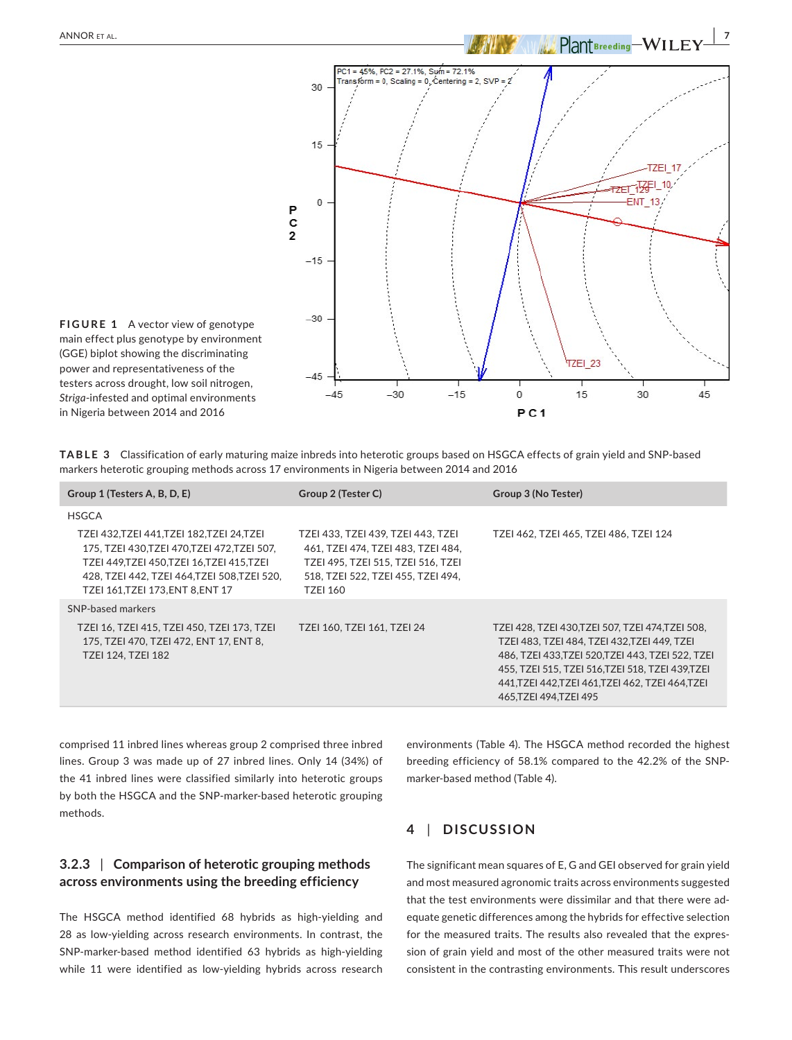

**TABLE 3** Classification of early maturing maize inbreds into heterotic groups based on HSGCA effects of grain yield and SNP-based markers heterotic grouping methods across 17 environments in Nigeria between 2014 and 2016

| Group 1 (Testers A, B, D, E)                                                                                                                                                                                            | Group 2 (Tester C)                                                                                                                                                      | Group 3 (No Tester)                                                                                                                                                                                                                                                                       |
|-------------------------------------------------------------------------------------------------------------------------------------------------------------------------------------------------------------------------|-------------------------------------------------------------------------------------------------------------------------------------------------------------------------|-------------------------------------------------------------------------------------------------------------------------------------------------------------------------------------------------------------------------------------------------------------------------------------------|
| <b>HSGCA</b>                                                                                                                                                                                                            |                                                                                                                                                                         |                                                                                                                                                                                                                                                                                           |
| TZEI 432,TZEI 441,TZEI 182,TZEI 24,TZEI<br>175, TZEI 430, TZEI 470, TZEI 472, TZEI 507,<br>TZEI 449,TZEI 450,TZEI 16,TZEI 415,TZEI<br>428, TZEI 442, TZEI 464, TZEI 508, TZEI 520,<br>TZEI 161, TZEI 173, ENT 8, ENT 17 | TZEI 433, TZEI 439, TZEI 443, TZEI<br>461, TZEI 474, TZEI 483, TZEI 484,<br>TZEI 495, TZEI 515, TZEI 516, TZEI<br>518, TZEI 522, TZEI 455, TZEI 494,<br><b>TZEI 160</b> | TZEI 462, TZEI 465, TZEI 486, TZEI 124                                                                                                                                                                                                                                                    |
| SNP-based markers                                                                                                                                                                                                       |                                                                                                                                                                         |                                                                                                                                                                                                                                                                                           |
| TZEI 16, TZEI 415, TZEI 450, TZEI 173, TZEI<br>175, TZEI 470, TZEI 472, ENT 17, ENT 8,<br><b>TZEI 124. TZEI 182</b>                                                                                                     | TZEI 160. TZEI 161. TZEI 24                                                                                                                                             | TZEI 428, TZEI 430, TZEI 507, TZEI 474, TZEI 508,<br>TZEI 483, TZEI 484, TZEI 432, TZEI 449, TZEI<br>486, TZEI 433, TZEI 520, TZEI 443, TZEI 522, TZEI<br>455, TZEI 515, TZEI 516, TZEI 518, TZEI 439, TZEI<br>441, TZEI 442, TZEI 461, TZEI 462, TZEI 464, TZEI<br>465.TZEI 494.TZEI 495 |

comprised 11 inbred lines whereas group 2 comprised three inbred lines. Group 3 was made up of 27 inbred lines. Only 14 (34%) of the 41 inbred lines were classified similarly into heterotic groups by both the HSGCA and the SNP-marker-based heterotic grouping methods.

# **3.2.3** | **Comparison of heterotic grouping methods across environments using the breeding efficiency**

The HSGCA method identified 68 hybrids as high-yielding and 28 as low-yielding across research environments. In contrast, the SNP-marker-based method identified 63 hybrids as high-yielding while 11 were identified as low-yielding hybrids across research environments (Table 4). The HSGCA method recorded the highest breeding efficiency of 58.1% compared to the 42.2% of the SNPmarker-based method (Table 4).

# **4** | **DISCUSSION**

The significant mean squares of E, G and GEI observed for grain yield and most measured agronomic traits across environments suggested that the test environments were dissimilar and that there were adequate genetic differences among the hybrids for effective selection for the measured traits. The results also revealed that the expression of grain yield and most of the other measured traits were not consistent in the contrasting environments. This result underscores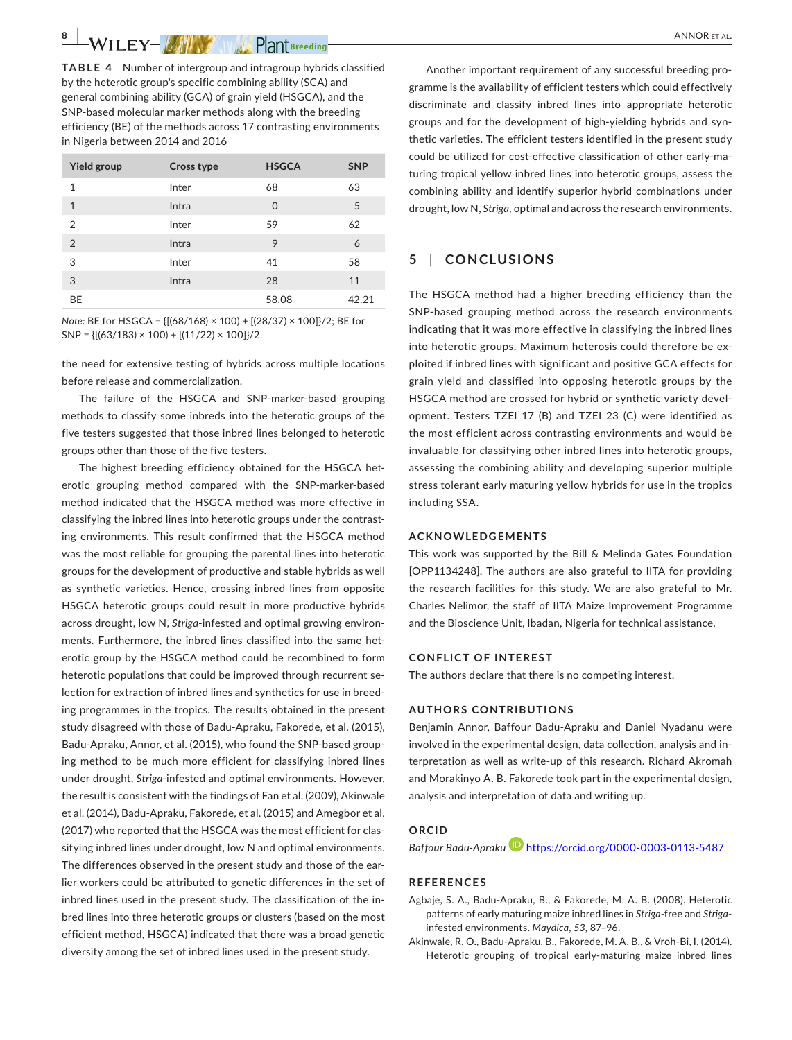**TABLE 4** Number of intergroup and intragroup hybrids classified by the heterotic group's specific combining ability (SCA) and general combining ability (GCA) of grain yield (HSGCA), and the SNP-based molecular marker methods along with the breeding efficiency (BE) of the methods across 17 contrasting environments in Nigeria between 2014 and 2016

| Yield group    | Cross type | <b>HSGCA</b> | <b>SNP</b> |
|----------------|------------|--------------|------------|
| $\mathbf{1}$   | Inter      | 68           | 63         |
| 1              | Intra      | $\Omega$     | 5          |
| $\overline{2}$ | Inter      | 59           | 62         |
| $\overline{2}$ | Intra      | 9            | 6          |
| 3              | Inter      | 41           | 58         |
| 3              | Intra      | 28           | 11         |
| BE             |            | 58.08        | 42.21      |

*Note:* BE for HSGCA = {[(68/168) × 100) + [(28/37) × 100]}/2; BE for  $SNP = \{[(63/183) \times 100] + [(11/22) \times 100]\}/2.$ 

the need for extensive testing of hybrids across multiple locations before release and commercialization.

The failure of the HSGCA and SNP-marker-based grouping methods to classify some inbreds into the heterotic groups of the five testers suggested that those inbred lines belonged to heterotic groups other than those of the five testers.

The highest breeding efficiency obtained for the HSGCA heterotic grouping method compared with the SNP-marker-based method indicated that the HSGCA method was more effective in classifying the inbred lines into heterotic groups under the contrasting environments. This result confirmed that the HSGCA method was the most reliable for grouping the parental lines into heterotic groups for the development of productive and stable hybrids as well as synthetic varieties. Hence, crossing inbred lines from opposite HSGCA heterotic groups could result in more productive hybrids across drought, low N, *Striga*-infested and optimal growing environments. Furthermore, the inbred lines classified into the same heterotic group by the HSGCA method could be recombined to form heterotic populations that could be improved through recurrent selection for extraction of inbred lines and synthetics for use in breeding programmes in the tropics. The results obtained in the present study disagreed with those of Badu-Apraku, Fakorede, et al. (2015), Badu-Apraku, Annor, et al. (2015), who found the SNP-based grouping method to be much more efficient for classifying inbred lines under drought, *Striga*-infested and optimal environments. However, the result is consistent with the findings of Fan et al. (2009), Akinwale et al. (2014), Badu-Apraku, Fakorede, et al. (2015) and Amegbor et al. (2017) who reported that the HSGCA was the most efficient for classifying inbred lines under drought, low N and optimal environments. The differences observed in the present study and those of the earlier workers could be attributed to genetic differences in the set of inbred lines used in the present study. The classification of the inbred lines into three heterotic groups or clusters (based on the most efficient method, HSGCA) indicated that there was a broad genetic diversity among the set of inbred lines used in the present study.

Another important requirement of any successful breeding programme is the availability of efficient testers which could effectively discriminate and classify inbred lines into appropriate heterotic groups and for the development of high-yielding hybrids and synthetic varieties. The efficient testers identified in the present study could be utilized for cost-effective classification of other early-maturing tropical yellow inbred lines into heterotic groups, assess the combining ability and identify superior hybrid combinations under drought, low N, *Striga,* optimal and across the research environments.

# **5** | **CONCLUSIONS**

The HSGCA method had a higher breeding efficiency than the SNP-based grouping method across the research environments indicating that it was more effective in classifying the inbred lines into heterotic groups. Maximum heterosis could therefore be exploited if inbred lines with significant and positive GCA effects for grain yield and classified into opposing heterotic groups by the HSGCA method are crossed for hybrid or synthetic variety development. Testers TZEI 17 (B) and TZEI 23 (C) were identified as the most efficient across contrasting environments and would be invaluable for classifying other inbred lines into heterotic groups, assessing the combining ability and developing superior multiple stress tolerant early maturing yellow hybrids for use in the tropics including SSA.

#### **ACKNOWLEDGEMENTS**

This work was supported by the Bill & Melinda Gates Foundation [OPP1134248]. The authors are also grateful to IITA for providing the research facilities for this study. We are also grateful to Mr. Charles Nelimor, the staff of IITA Maize Improvement Programme and the Bioscience Unit, Ibadan, Nigeria for technical assistance.

#### **CONFLICT OF INTEREST**

The authors declare that there is no competing interest.

#### **AUTHORS CONTRIBUTIONS**

Benjamin Annor, Baffour Badu-Apraku and Daniel Nyadanu were involved in the experimental design, data collection, analysis and interpretation as well as write-up of this research. Richard Akromah and Morakinyo A. B. Fakorede took part in the experimental design, analysis and interpretation of data and writing up.

#### **ORCID**

*Baffour Badu-Aprak[u](https://orcid.org/0000-0003-0113-5487)* <https://orcid.org/0000-0003-0113-5487>

#### **REFERENCES**

- Agbaje, S. A., Badu-Apraku, B., & Fakorede, M. A. B. (2008). Heterotic patterns of early maturing maize inbred lines in *Striga*-free and *Striga*infested environments. *Maydica*, *53*, 87–96.
- Akinwale, R. O., Badu-Apraku, B., Fakorede, M. A. B., & Vroh-Bi, I. (2014). Heterotic grouping of tropical early-maturing maize inbred lines